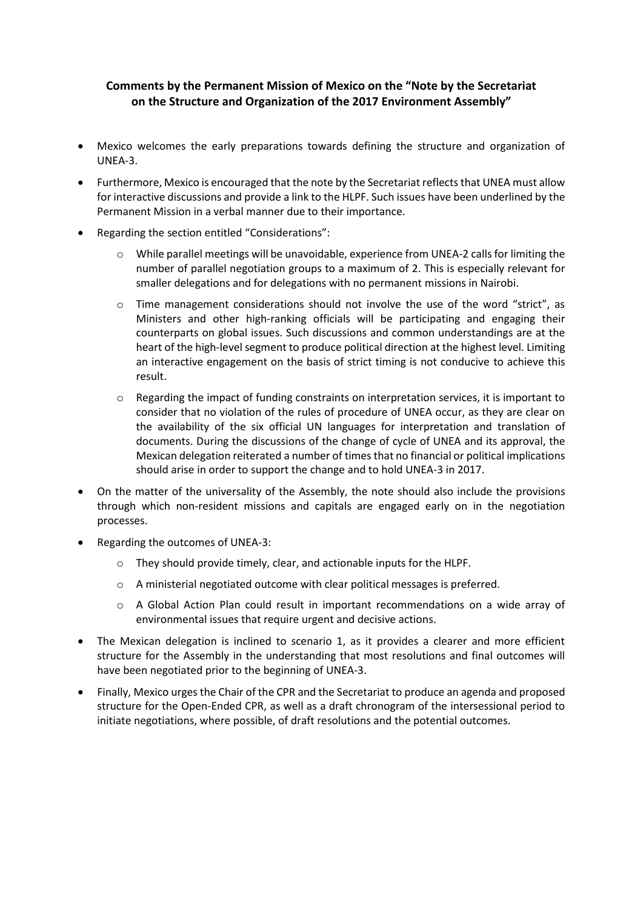## **Comments by the Permanent Mission of Mexico on the "Note by the Secretariat on the Structure and Organization of the 2017 Environment Assembly"**

- Mexico welcomes the early preparations towards defining the structure and organization of UNEA-3.
- Furthermore, Mexico is encouraged that the note by the Secretariat reflects that UNEA must allow for interactive discussions and provide a link to the HLPF. Such issues have been underlined by the Permanent Mission in a verbal manner due to their importance.
- Regarding the section entitled "Considerations":
	- $\circ$  While parallel meetings will be unavoidable, experience from UNEA-2 calls for limiting the number of parallel negotiation groups to a maximum of 2. This is especially relevant for smaller delegations and for delegations with no permanent missions in Nairobi.
	- $\circ$  Time management considerations should not involve the use of the word "strict", as Ministers and other high-ranking officials will be participating and engaging their counterparts on global issues. Such discussions and common understandings are at the heart of the high-level segment to produce political direction at the highest level. Limiting an interactive engagement on the basis of strict timing is not conducive to achieve this result.
	- $\circ$  Regarding the impact of funding constraints on interpretation services, it is important to consider that no violation of the rules of procedure of UNEA occur, as they are clear on the availability of the six official UN languages for interpretation and translation of documents. During the discussions of the change of cycle of UNEA and its approval, the Mexican delegation reiterated a number of times that no financial or political implications should arise in order to support the change and to hold UNEA-3 in 2017.
- On the matter of the universality of the Assembly, the note should also include the provisions through which non-resident missions and capitals are engaged early on in the negotiation processes.
- Regarding the outcomes of UNEA-3:
	- o They should provide timely, clear, and actionable inputs for the HLPF.
	- o A ministerial negotiated outcome with clear political messages is preferred.
	- $\circ$  A Global Action Plan could result in important recommendations on a wide array of environmental issues that require urgent and decisive actions.
- The Mexican delegation is inclined to scenario 1, as it provides a clearer and more efficient structure for the Assembly in the understanding that most resolutions and final outcomes will have been negotiated prior to the beginning of UNEA-3.
- Finally, Mexico urges the Chair of the CPR and the Secretariat to produce an agenda and proposed structure for the Open-Ended CPR, as well as a draft chronogram of the intersessional period to initiate negotiations, where possible, of draft resolutions and the potential outcomes.